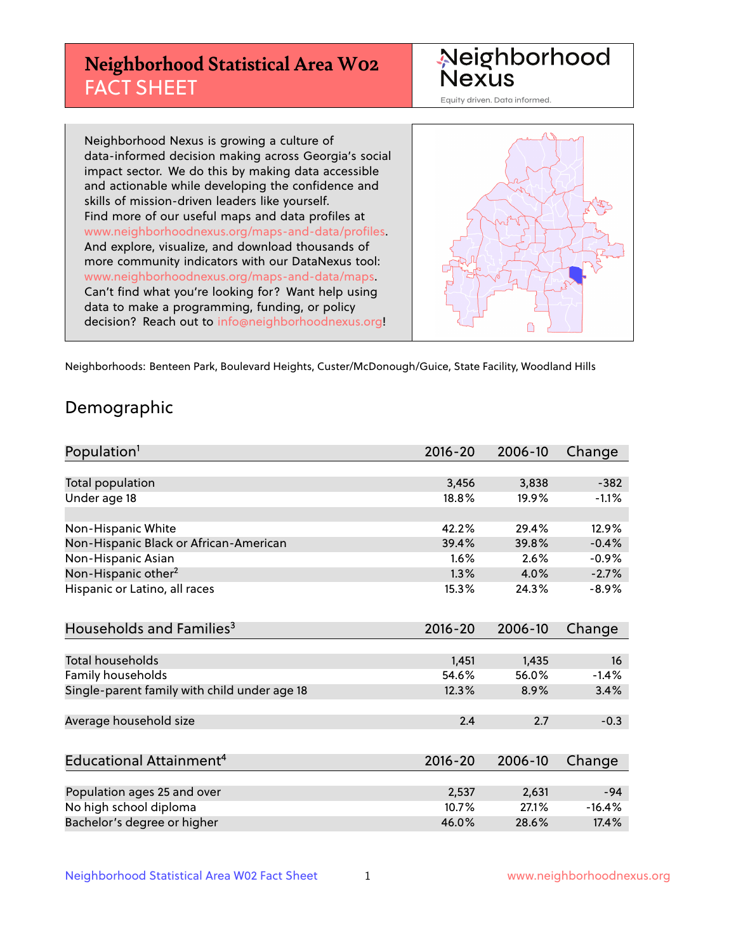# **Neighborhood Statistical Area W02** FACT SHEET



Equity driven. Data informed.

Neighborhood Nexus is growing a culture of data-informed decision making across Georgia's social impact sector. We do this by making data accessible and actionable while developing the confidence and skills of mission-driven leaders like yourself. Find more of our useful maps and data profiles at www.neighborhoodnexus.org/maps-and-data/profiles. And explore, visualize, and download thousands of more community indicators with our DataNexus tool: www.neighborhoodnexus.org/maps-and-data/maps. Can't find what you're looking for? Want help using data to make a programming, funding, or policy decision? Reach out to [info@neighborhoodnexus.org!](mailto:info@neighborhoodnexus.org)



Neighborhoods: Benteen Park, Boulevard Heights, Custer/McDonough/Guice, State Facility, Woodland Hills

### Demographic

| Population <sup>1</sup>                      | $2016 - 20$ | 2006-10 | Change   |
|----------------------------------------------|-------------|---------|----------|
|                                              |             |         |          |
| Total population                             | 3,456       | 3,838   | $-382$   |
| Under age 18                                 | 18.8%       | 19.9%   | $-1.1%$  |
|                                              |             |         |          |
| Non-Hispanic White                           | 42.2%       | 29.4%   | 12.9%    |
| Non-Hispanic Black or African-American       | 39.4%       | 39.8%   | $-0.4%$  |
| Non-Hispanic Asian                           | 1.6%        | 2.6%    | $-0.9%$  |
| Non-Hispanic other <sup>2</sup>              | 1.3%        | 4.0%    | $-2.7%$  |
| Hispanic or Latino, all races                | 15.3%       | 24.3%   | $-8.9%$  |
|                                              |             |         |          |
| Households and Families <sup>3</sup>         | $2016 - 20$ | 2006-10 | Change   |
|                                              |             |         |          |
| Total households                             | 1,451       | 1,435   | 16       |
| Family households                            | 54.6%       | 56.0%   | $-1.4%$  |
| Single-parent family with child under age 18 | 12.3%       | 8.9%    | 3.4%     |
|                                              |             |         |          |
| Average household size                       | 2.4         | 2.7     | $-0.3$   |
|                                              |             |         |          |
| Educational Attainment <sup>4</sup>          | $2016 - 20$ | 2006-10 | Change   |
|                                              |             |         |          |
| Population ages 25 and over                  | 2,537       | 2,631   | $-94$    |
| No high school diploma                       | 10.7%       | 27.1%   | $-16.4%$ |
| Bachelor's degree or higher                  | 46.0%       | 28.6%   | 17.4%    |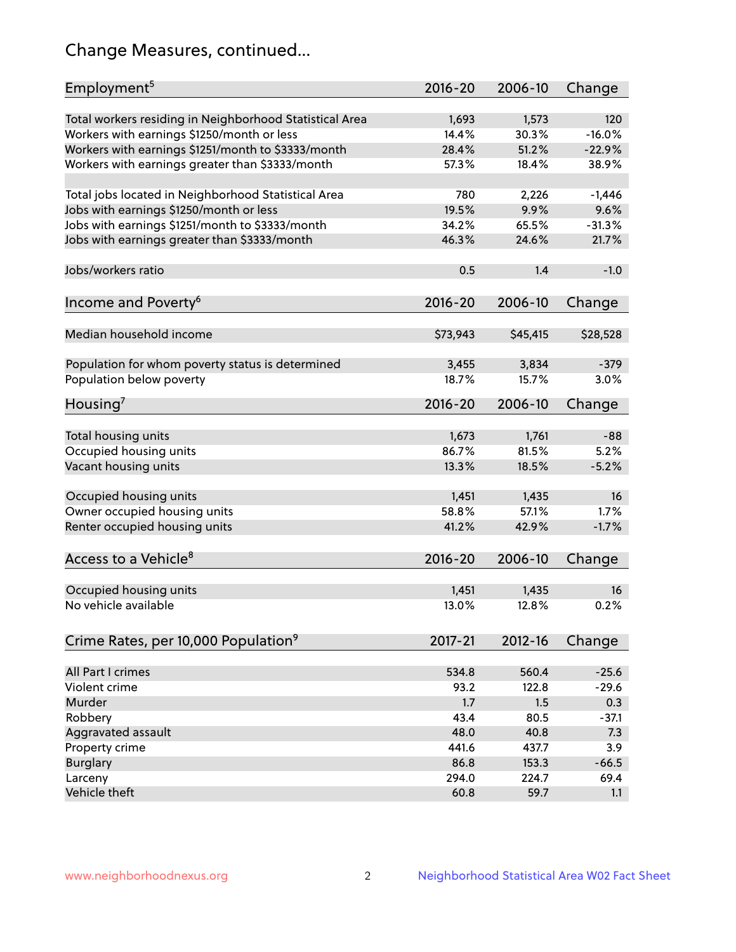# Change Measures, continued...

| Employment <sup>5</sup>                                 | $2016 - 20$ | 2006-10  | Change   |
|---------------------------------------------------------|-------------|----------|----------|
| Total workers residing in Neighborhood Statistical Area | 1,693       | 1,573    | 120      |
| Workers with earnings \$1250/month or less              | 14.4%       | 30.3%    | $-16.0%$ |
| Workers with earnings \$1251/month to \$3333/month      | 28.4%       | 51.2%    | $-22.9%$ |
| Workers with earnings greater than \$3333/month         | 57.3%       | 18.4%    | 38.9%    |
|                                                         |             |          |          |
| Total jobs located in Neighborhood Statistical Area     | 780         | 2,226    | $-1,446$ |
| Jobs with earnings \$1250/month or less                 | 19.5%       | 9.9%     | 9.6%     |
| Jobs with earnings \$1251/month to \$3333/month         | 34.2%       | 65.5%    | $-31.3%$ |
| Jobs with earnings greater than \$3333/month            | 46.3%       | 24.6%    | 21.7%    |
|                                                         |             |          |          |
| Jobs/workers ratio                                      | 0.5         | 1.4      | $-1.0$   |
|                                                         |             |          |          |
| Income and Poverty <sup>6</sup>                         | 2016-20     | 2006-10  | Change   |
| Median household income                                 | \$73,943    | \$45,415 | \$28,528 |
|                                                         |             |          |          |
| Population for whom poverty status is determined        | 3,455       | 3,834    | $-379$   |
| Population below poverty                                | 18.7%       | 15.7%    | 3.0%     |
|                                                         |             |          |          |
| Housing <sup>7</sup>                                    | $2016 - 20$ | 2006-10  | Change   |
| Total housing units                                     | 1,673       | 1,761    | $-88$    |
| Occupied housing units                                  | 86.7%       | 81.5%    | 5.2%     |
|                                                         | 13.3%       | 18.5%    | $-5.2%$  |
| Vacant housing units                                    |             |          |          |
| Occupied housing units                                  | 1,451       | 1,435    | 16       |
| Owner occupied housing units                            | 58.8%       | 57.1%    | 1.7%     |
| Renter occupied housing units                           | 41.2%       | 42.9%    | $-1.7%$  |
|                                                         |             |          |          |
| Access to a Vehicle <sup>8</sup>                        | $2016 - 20$ | 2006-10  | Change   |
|                                                         |             |          |          |
| Occupied housing units                                  | 1,451       | 1,435    | 16       |
| No vehicle available                                    | 13.0%       | 12.8%    | 0.2%     |
|                                                         |             |          |          |
| Crime Rates, per 10,000 Population <sup>9</sup>         | 2017-21     | 2012-16  | Change   |
|                                                         |             |          |          |
| All Part I crimes                                       | 534.8       | 560.4    | $-25.6$  |
| Violent crime                                           | 93.2        | 122.8    | $-29.6$  |
| <b>Murder</b>                                           | 1.7         | 1.5      | 0.3      |
| Robbery                                                 | 43.4        | 80.5     | $-37.1$  |
| Aggravated assault                                      | 48.0        | 40.8     | 7.3      |
| Property crime                                          | 441.6       | 437.7    | 3.9      |
| <b>Burglary</b>                                         | 86.8        | 153.3    | $-66.5$  |
| Larceny                                                 | 294.0       | 224.7    | 69.4     |
| Vehicle theft                                           | 60.8        | 59.7     | 1.1      |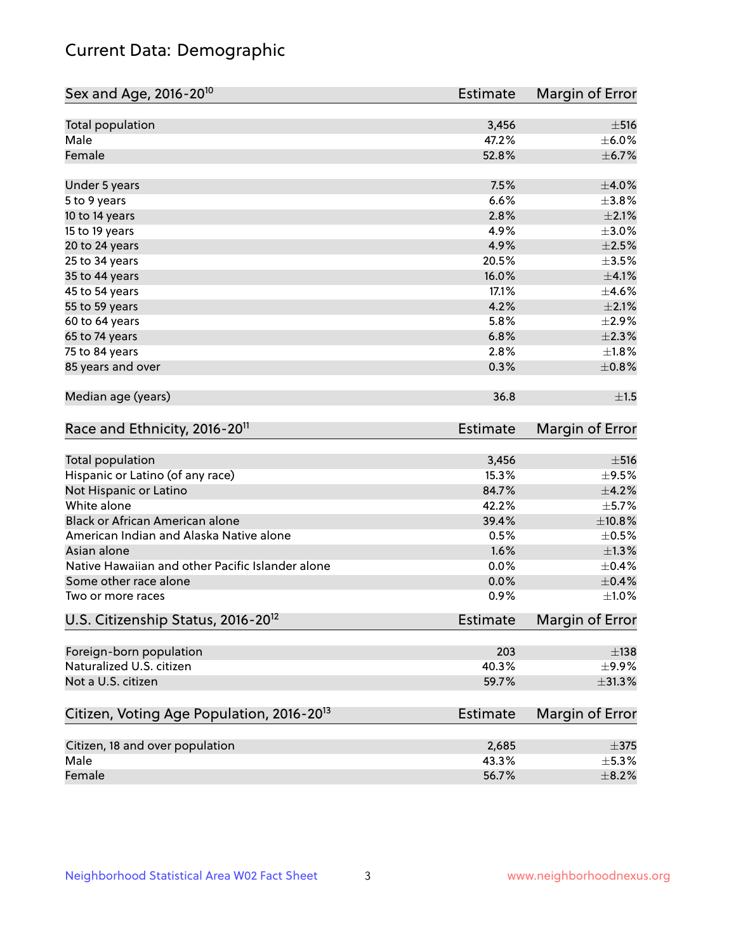# Current Data: Demographic

| Sex and Age, 2016-20 <sup>10</sup>                    | <b>Estimate</b> | Margin of Error        |
|-------------------------------------------------------|-----------------|------------------------|
| Total population                                      | 3,456           | $\pm$ 516              |
| Male                                                  | 47.2%           | $\pm$ 6.0%             |
| Female                                                | 52.8%           | $\pm$ 6.7%             |
| Under 5 years                                         | 7.5%            | $\pm 4.0\%$            |
| 5 to 9 years                                          | 6.6%            | ±3.8%                  |
| 10 to 14 years                                        | 2.8%            | $\pm 2.1\%$            |
| 15 to 19 years                                        | 4.9%            | $\pm 3.0\%$            |
| 20 to 24 years                                        | 4.9%            | $\pm 2.5\%$            |
| 25 to 34 years                                        | 20.5%           | $\pm 3.5\%$            |
| 35 to 44 years                                        | 16.0%           | $\pm 4.1\%$            |
| 45 to 54 years                                        | 17.1%           | $\pm$ 4.6%             |
| 55 to 59 years                                        | 4.2%            | $\pm 2.1\%$            |
| 60 to 64 years                                        | 5.8%            | $\pm 2.9\%$            |
| 65 to 74 years                                        | 6.8%            | $\pm 2.3\%$            |
| 75 to 84 years                                        | 2.8%            | $\pm1.8\%$             |
| 85 years and over                                     | 0.3%            | $\pm$ 0.8%             |
| Median age (years)                                    | 36.8            | ±1.5                   |
| Race and Ethnicity, 2016-20 <sup>11</sup>             | <b>Estimate</b> | Margin of Error        |
| Total population                                      | 3,456           | $\pm$ 516              |
| Hispanic or Latino (of any race)                      | 15.3%           | $\pm$ 9.5%             |
| Not Hispanic or Latino                                | 84.7%           | $\pm 4.2\%$            |
| White alone                                           | 42.2%           | $\pm$ 5.7%             |
| Black or African American alone                       | 39.4%           | $\pm$ 10.8%            |
| American Indian and Alaska Native alone               | 0.5%            | $\pm$ 0.5%             |
| Asian alone                                           | 1.6%            | $\pm 1.3\%$            |
| Native Hawaiian and other Pacific Islander alone      | 0.0%            | $\pm$ 0.4%             |
| Some other race alone                                 | 0.0%            | $\pm$ 0.4%             |
| Two or more races                                     | 0.9%            | $\pm1.0\%$             |
| U.S. Citizenship Status, 2016-20 <sup>12</sup>        | Estimate        | <b>Margin of Error</b> |
| Foreign-born population                               | 203             | $\pm$ 138              |
| Naturalized U.S. citizen                              | 40.3%           | $\pm$ 9.9%             |
| Not a U.S. citizen                                    | 59.7%           | $\pm$ 31.3%            |
| Citizen, Voting Age Population, 2016-20 <sup>13</sup> | <b>Estimate</b> | Margin of Error        |
| Citizen, 18 and over population                       | 2,685           | $\pm$ 375              |
| Male                                                  | 43.3%           | $\pm$ 5.3%             |
| Female                                                | 56.7%           | $\pm$ 8.2%             |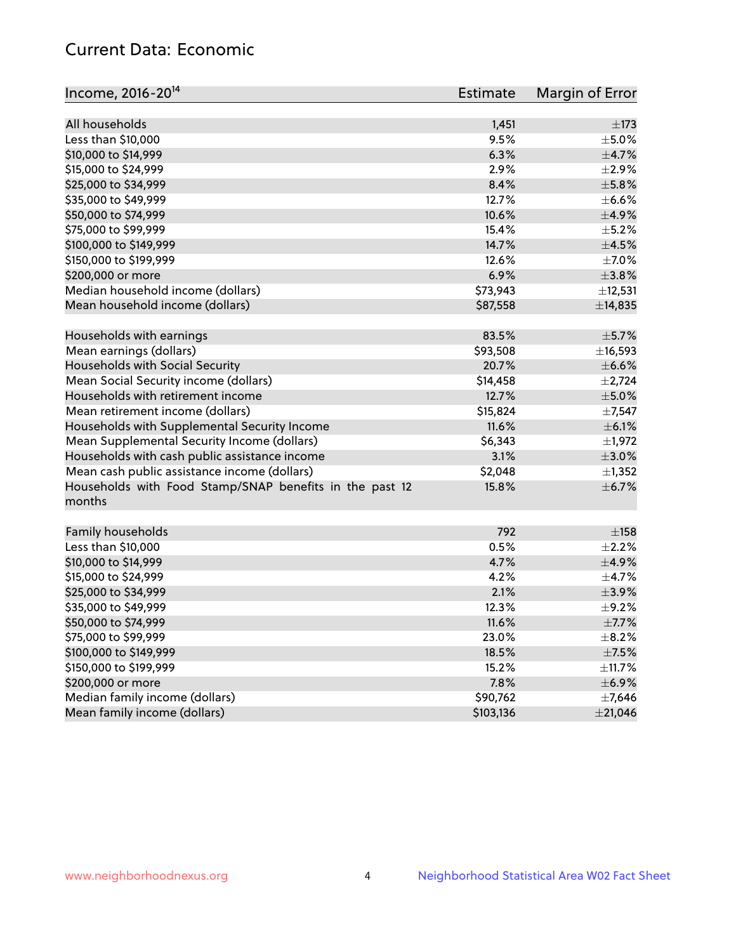# Current Data: Economic

| Income, 2016-20 <sup>14</sup>                           | Estimate  | Margin of Error |
|---------------------------------------------------------|-----------|-----------------|
|                                                         |           |                 |
| All households                                          | 1,451     | $\pm$ 173       |
| Less than \$10,000                                      | 9.5%      | $\pm$ 5.0%      |
| \$10,000 to \$14,999                                    | 6.3%      | $\pm$ 4.7%      |
| \$15,000 to \$24,999                                    | 2.9%      | $\pm 2.9\%$     |
| \$25,000 to \$34,999                                    | 8.4%      | $\pm$ 5.8%      |
| \$35,000 to \$49,999                                    | 12.7%     | $\pm$ 6.6%      |
| \$50,000 to \$74,999                                    | 10.6%     | $\pm$ 4.9%      |
| \$75,000 to \$99,999                                    | 15.4%     | $\pm$ 5.2%      |
| \$100,000 to \$149,999                                  | 14.7%     | $\pm$ 4.5%      |
| \$150,000 to \$199,999                                  | 12.6%     | $\pm$ 7.0%      |
| \$200,000 or more                                       | 6.9%      | $\pm$ 3.8%      |
| Median household income (dollars)                       | \$73,943  | ±12,531         |
| Mean household income (dollars)                         | \$87,558  | ±14,835         |
| Households with earnings                                | 83.5%     | $\pm$ 5.7%      |
| Mean earnings (dollars)                                 | \$93,508  | ±16,593         |
| Households with Social Security                         | 20.7%     | $\pm$ 6.6%      |
| Mean Social Security income (dollars)                   | \$14,458  | $\pm 2,724$     |
| Households with retirement income                       | 12.7%     | $\pm$ 5.0%      |
| Mean retirement income (dollars)                        | \$15,824  | $\pm$ 7,547     |
| Households with Supplemental Security Income            | 11.6%     | $\pm$ 6.1%      |
| Mean Supplemental Security Income (dollars)             | \$6,343   | $\pm$ 1,972     |
| Households with cash public assistance income           | 3.1%      | $\pm 3.0\%$     |
| Mean cash public assistance income (dollars)            | \$2,048   | $\pm$ 1,352     |
| Households with Food Stamp/SNAP benefits in the past 12 | 15.8%     | $\pm$ 6.7%      |
| months                                                  |           |                 |
| Family households                                       | 792       | ±158            |
| Less than \$10,000                                      | 0.5%      | $\pm 2.2\%$     |
| \$10,000 to \$14,999                                    | 4.7%      | $\pm$ 4.9%      |
| \$15,000 to \$24,999                                    | 4.2%      | $\pm$ 4.7%      |
| \$25,000 to \$34,999                                    | 2.1%      | $\pm$ 3.9%      |
| \$35,000 to \$49,999                                    | 12.3%     | $\pm$ 9.2%      |
|                                                         |           | $\pm$ 7.7%      |
| \$50,000 to \$74,999                                    | 11.6%     |                 |
| \$75,000 to \$99,999                                    | 23.0%     | $\pm$ 8.2%      |
| \$100,000 to \$149,999                                  | 18.5%     | $\pm$ 7.5%      |
| \$150,000 to \$199,999                                  | 15.2%     | $\pm$ 11.7%     |
| \$200,000 or more                                       | 7.8%      | $\pm$ 6.9%      |
| Median family income (dollars)                          | \$90,762  | ±7,646          |
| Mean family income (dollars)                            | \$103,136 | $±$ 21,046      |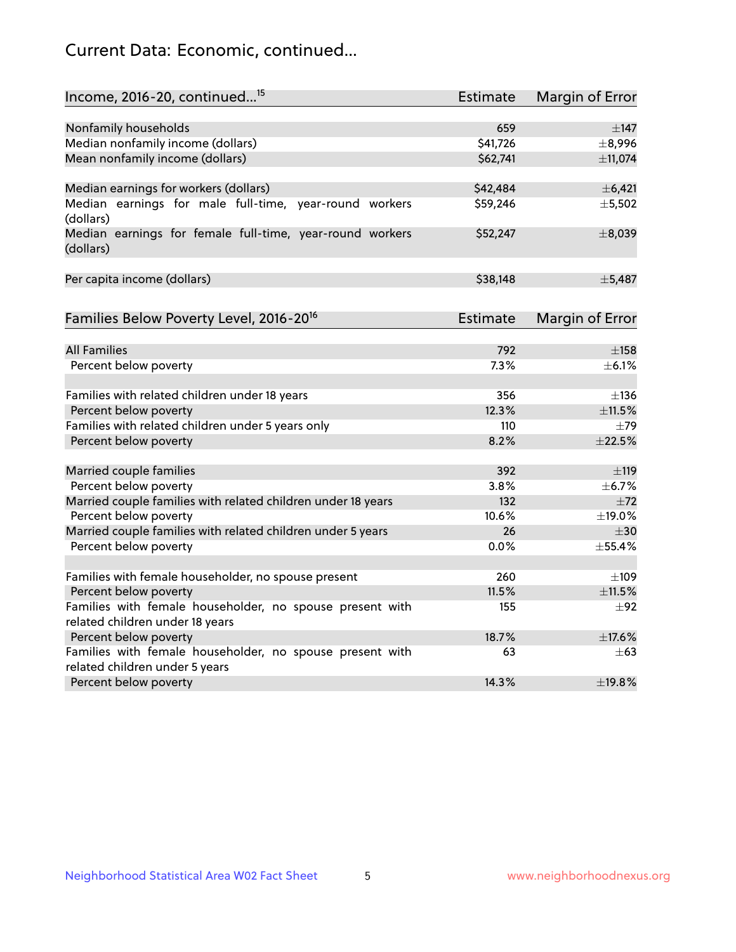# Current Data: Economic, continued...

| Income, 2016-20, continued <sup>15</sup>                              | <b>Estimate</b> | <b>Margin of Error</b> |
|-----------------------------------------------------------------------|-----------------|------------------------|
|                                                                       |                 |                        |
| Nonfamily households                                                  | 659             | $\pm$ 147              |
| Median nonfamily income (dollars)                                     | \$41,726        | ±8,996                 |
| Mean nonfamily income (dollars)                                       | \$62,741        | ±11,074                |
| Median earnings for workers (dollars)                                 | \$42,484        | $\pm$ 6,421            |
| Median earnings for male full-time, year-round workers<br>(dollars)   | \$59,246        | ±5,502                 |
| Median earnings for female full-time, year-round workers<br>(dollars) | \$52,247        | ±8,039                 |
| Per capita income (dollars)                                           | \$38,148        | ±5,487                 |
| Families Below Poverty Level, 2016-20 <sup>16</sup>                   | Estimate        | <b>Margin of Error</b> |
|                                                                       |                 |                        |
| <b>All Families</b>                                                   | 792             | $\pm$ 158              |
| Percent below poverty                                                 | 7.3%            | $\pm$ 6.1%             |
| Families with related children under 18 years                         | 356             | $\pm$ 136              |
| Percent below poverty                                                 | 12.3%           | ±11.5%                 |
| Families with related children under 5 years only                     | 110             | $\pm$ 79               |
| Percent below poverty                                                 | 8.2%            | ±22.5%                 |
| Married couple families                                               | 392             | ±119                   |
| Percent below poverty                                                 | 3.8%            | ±6.7%                  |
| Married couple families with related children under 18 years          | 132             | $\pm 72$               |
| Percent below poverty                                                 | 10.6%           | ±19.0%                 |
| Married couple families with related children under 5 years           | 26              | $\pm$ 30               |
| Percent below poverty                                                 | $0.0\%$         | ±55.4%                 |
| Families with female householder, no spouse present                   | 260             | $\pm$ 109              |
| Percent below poverty                                                 | 11.5%           | ±11.5%                 |
| Families with female householder, no spouse present with              | 155             | $\pm 92$               |
| related children under 18 years                                       |                 |                        |
| Percent below poverty                                                 | 18.7%           | ±17.6%                 |
| Families with female householder, no spouse present with              | 63              | $\pm 63$               |
| related children under 5 years                                        |                 |                        |
| Percent below poverty                                                 | 14.3%           | ±19.8%                 |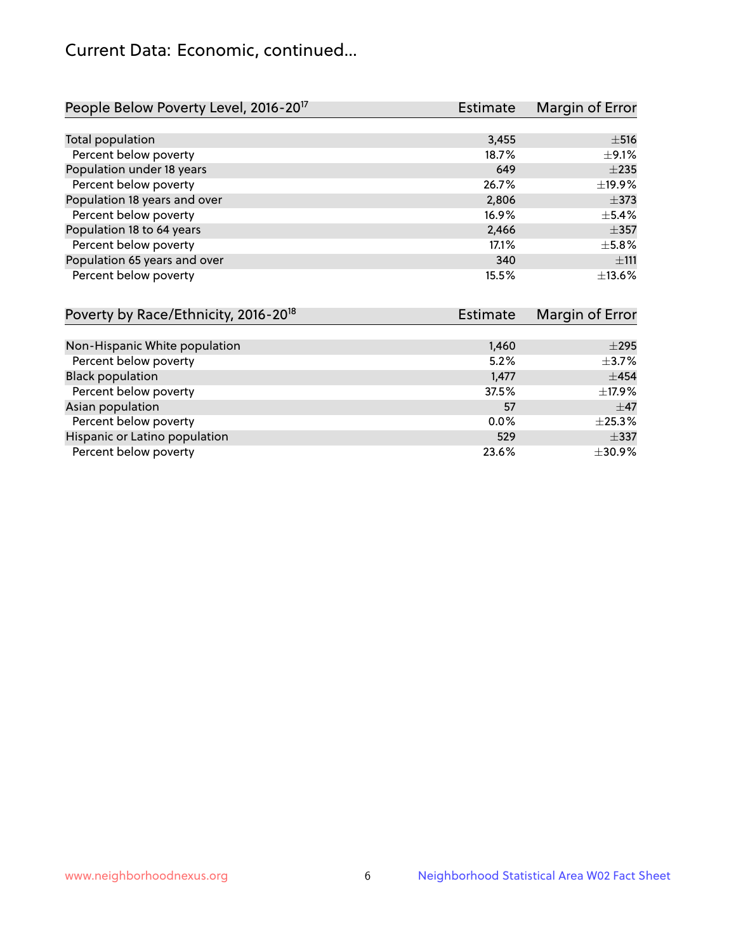# Current Data: Economic, continued...

| People Below Poverty Level, 2016-20 <sup>17</sup> | <b>Estimate</b> | Margin of Error |
|---------------------------------------------------|-----------------|-----------------|
|                                                   |                 |                 |
| Total population                                  | 3,455           | $\pm$ 516       |
| Percent below poverty                             | 18.7%           | $\pm$ 9.1%      |
| Population under 18 years                         | 649             | $\pm 235$       |
| Percent below poverty                             | 26.7%           | ±19.9%          |
| Population 18 years and over                      | 2,806           | $\pm$ 373       |
| Percent below poverty                             | 16.9%           | $\pm$ 5.4%      |
| Population 18 to 64 years                         | 2,466           | $\pm$ 357       |
| Percent below poverty                             | 17.1%           | $\pm$ 5.8%      |
| Population 65 years and over                      | 340             | ±111            |
| Percent below poverty                             | 15.5%           | ±13.6%          |

| Poverty by Race/Ethnicity, 2016-20 <sup>18</sup> | <b>Estimate</b> |              |
|--------------------------------------------------|-----------------|--------------|
|                                                  |                 |              |
| Non-Hispanic White population                    | 1,460           | $\pm 295$    |
| Percent below poverty                            | 5.2%            | $\pm$ 3.7%   |
| <b>Black population</b>                          | 1,477           | $\pm 454$    |
| Percent below poverty                            | 37.5%           | ±17.9%       |
| Asian population                                 | 57              | $\pm$ 47     |
| Percent below poverty                            | 0.0%            | $\pm 25.3\%$ |
| Hispanic or Latino population                    | 529             | $\pm$ 337    |
| Percent below poverty                            | 23.6%           | ±30.9%       |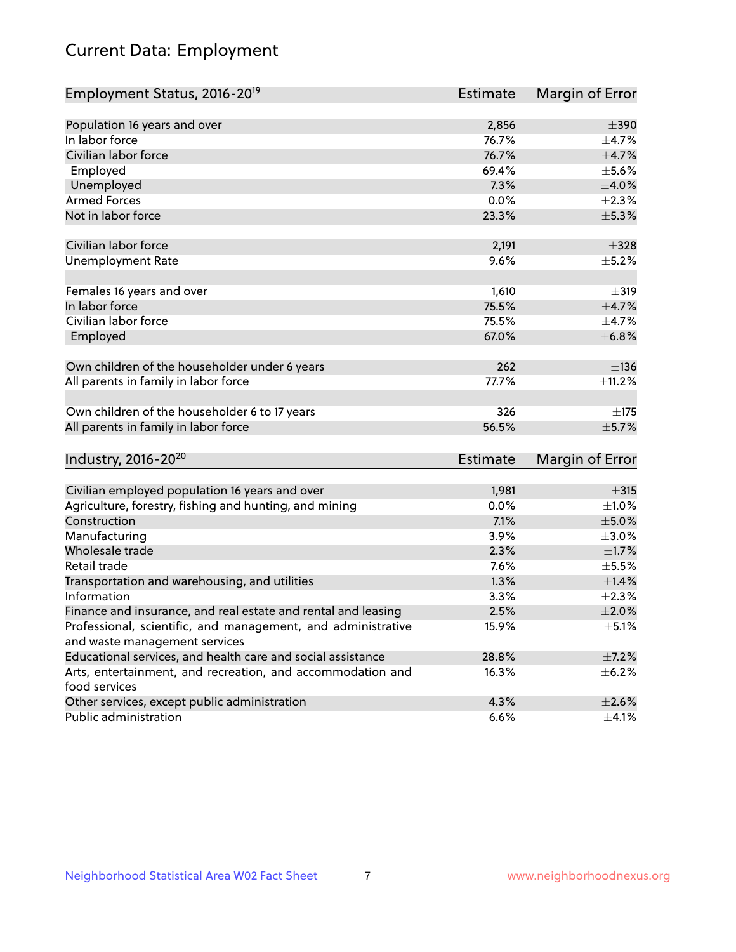# Current Data: Employment

| Employment Status, 2016-20 <sup>19</sup>                                    | <b>Estimate</b> | Margin of Error |
|-----------------------------------------------------------------------------|-----------------|-----------------|
|                                                                             |                 |                 |
| Population 16 years and over                                                | 2,856           | $\pm$ 390       |
| In labor force                                                              | 76.7%           | $\pm$ 4.7%      |
| Civilian labor force                                                        | 76.7%           | $\pm$ 4.7%      |
| Employed                                                                    | 69.4%           | $\pm$ 5.6%      |
| Unemployed                                                                  | 7.3%            | $\pm 4.0\%$     |
| <b>Armed Forces</b>                                                         | 0.0%            | $\pm 2.3\%$     |
| Not in labor force                                                          | 23.3%           | $\pm$ 5.3%      |
|                                                                             |                 |                 |
| Civilian labor force                                                        | 2,191           | $\pm$ 328       |
| <b>Unemployment Rate</b>                                                    | 9.6%            | $\pm$ 5.2%      |
| Females 16 years and over                                                   | 1,610           | $\pm$ 319       |
| In labor force                                                              | 75.5%           | $\pm$ 4.7%      |
| Civilian labor force                                                        | 75.5%           | $\pm$ 4.7%      |
| Employed                                                                    | 67.0%           | ±6.8%           |
|                                                                             |                 |                 |
| Own children of the householder under 6 years                               | 262             | ±136            |
| All parents in family in labor force                                        | 77.7%           | ±11.2%          |
| Own children of the householder 6 to 17 years                               | 326             | $+175$          |
| All parents in family in labor force                                        | 56.5%           | $\pm$ 5.7%      |
|                                                                             |                 |                 |
| Industry, 2016-20 <sup>20</sup>                                             | <b>Estimate</b> | Margin of Error |
|                                                                             |                 |                 |
| Civilian employed population 16 years and over                              | 1,981           | $\pm$ 315       |
| Agriculture, forestry, fishing and hunting, and mining                      | 0.0%            | $\pm 1.0\%$     |
| Construction                                                                | 7.1%            | $\pm$ 5.0%      |
| Manufacturing                                                               | 3.9%            | $\pm 3.0\%$     |
| Wholesale trade                                                             | 2.3%            | $\pm$ 1.7%      |
| Retail trade                                                                | 7.6%            | $\pm$ 5.5%      |
| Transportation and warehousing, and utilities                               | 1.3%            | $\pm$ 1.4%      |
| Information                                                                 | 3.3%            | $\pm 2.3\%$     |
| Finance and insurance, and real estate and rental and leasing               | 2.5%            | $\pm 2.0\%$     |
| Professional, scientific, and management, and administrative                | 15.9%           | $\pm$ 5.1%      |
| and waste management services                                               |                 |                 |
| Educational services, and health care and social assistance                 | 28.8%           | $\pm$ 7.2%      |
| Arts, entertainment, and recreation, and accommodation and<br>food services | 16.3%           | $\pm$ 6.2%      |
| Other services, except public administration                                | 4.3%            | $\pm 2.6\%$     |
| Public administration                                                       | 6.6%            | $\pm$ 4.1%      |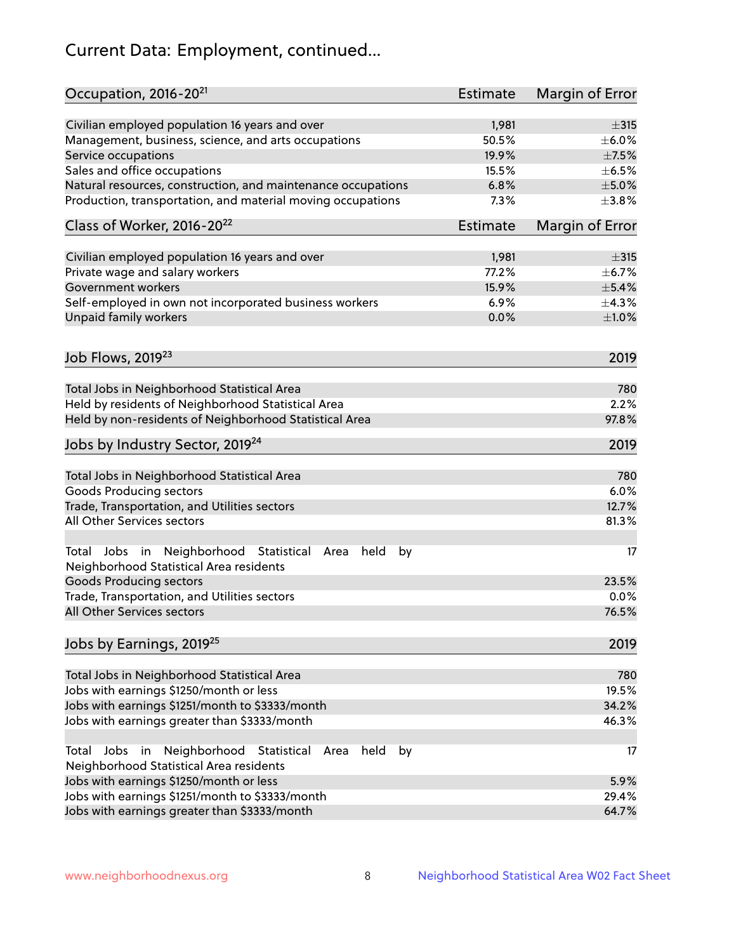# Current Data: Employment, continued...

| Occupation, 2016-20 <sup>21</sup>                                                                       | <b>Estimate</b> | Margin of Error |
|---------------------------------------------------------------------------------------------------------|-----------------|-----------------|
| Civilian employed population 16 years and over                                                          | 1,981           | $\pm$ 315       |
| Management, business, science, and arts occupations                                                     | 50.5%           | $\pm$ 6.0%      |
| Service occupations                                                                                     | 19.9%           | $\pm$ 7.5%      |
| Sales and office occupations                                                                            | 15.5%           | $\pm$ 6.5%      |
| Natural resources, construction, and maintenance occupations                                            | 6.8%            | $\pm$ 5.0%      |
| Production, transportation, and material moving occupations                                             | 7.3%            | ±3.8%           |
| Class of Worker, 2016-20 <sup>22</sup>                                                                  | <b>Estimate</b> | Margin of Error |
| Civilian employed population 16 years and over                                                          | 1,981           | $\pm$ 315       |
| Private wage and salary workers                                                                         | 77.2%           | $\pm$ 6.7%      |
| Government workers                                                                                      | 15.9%           | $\pm$ 5.4%      |
| Self-employed in own not incorporated business workers                                                  | 6.9%            | ±4.3%           |
| Unpaid family workers                                                                                   | 0.0%            | ±1.0%           |
| Job Flows, 2019 <sup>23</sup>                                                                           |                 | 2019            |
|                                                                                                         |                 |                 |
| Total Jobs in Neighborhood Statistical Area                                                             |                 | 780             |
| Held by residents of Neighborhood Statistical Area                                                      |                 | 2.2%            |
| Held by non-residents of Neighborhood Statistical Area                                                  |                 | 97.8%           |
| Jobs by Industry Sector, 2019 <sup>24</sup>                                                             |                 | 2019            |
| Total Jobs in Neighborhood Statistical Area                                                             |                 | 780             |
| <b>Goods Producing sectors</b>                                                                          |                 | 6.0%            |
| Trade, Transportation, and Utilities sectors                                                            |                 | 12.7%           |
| All Other Services sectors                                                                              |                 | 81.3%           |
| Total Jobs in Neighborhood Statistical<br>held<br>by<br>Area<br>Neighborhood Statistical Area residents |                 | 17              |
| <b>Goods Producing sectors</b>                                                                          |                 | 23.5%           |
| Trade, Transportation, and Utilities sectors                                                            |                 | 0.0%            |
| All Other Services sectors                                                                              |                 | 76.5%           |
| Jobs by Earnings, 2019 <sup>25</sup>                                                                    |                 | 2019            |
| Total Jobs in Neighborhood Statistical Area                                                             |                 | 780             |
| Jobs with earnings \$1250/month or less                                                                 |                 | 19.5%           |
| Jobs with earnings \$1251/month to \$3333/month                                                         |                 | 34.2%           |
| Jobs with earnings greater than \$3333/month                                                            |                 | 46.3%           |
| Neighborhood Statistical<br>Jobs<br>in<br>held<br>by<br>Total<br>Area                                   |                 | 17              |
| Neighborhood Statistical Area residents                                                                 |                 |                 |
| Jobs with earnings \$1250/month or less                                                                 |                 | 5.9%            |
| Jobs with earnings \$1251/month to \$3333/month                                                         |                 | 29.4%           |
| Jobs with earnings greater than \$3333/month                                                            |                 | 64.7%           |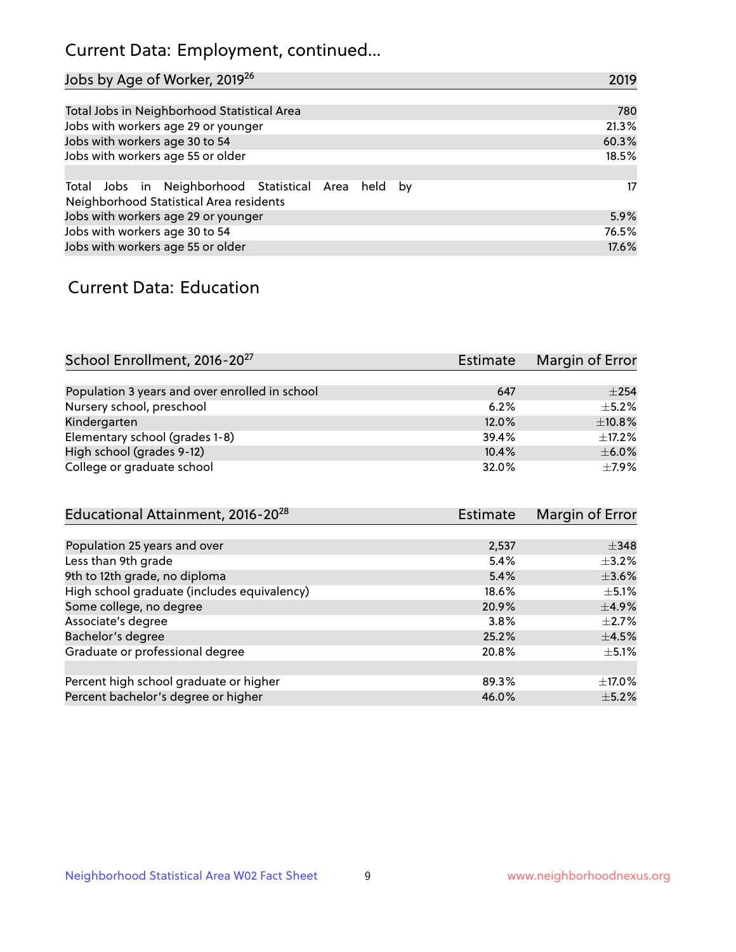# Current Data: Employment, continued...

| Jobs by Age of Worker, 2019 <sup>26</sup>                                                      | 2019  |
|------------------------------------------------------------------------------------------------|-------|
|                                                                                                |       |
| Total Jobs in Neighborhood Statistical Area                                                    | 780   |
| Jobs with workers age 29 or younger                                                            | 21.3% |
| Jobs with workers age 30 to 54                                                                 | 60.3% |
| Jobs with workers age 55 or older                                                              | 18.5% |
|                                                                                                |       |
| Total Jobs in Neighborhood Statistical Area held by<br>Neighborhood Statistical Area residents | 17    |
| Jobs with workers age 29 or younger                                                            | 5.9%  |
| Jobs with workers age 30 to 54                                                                 | 76.5% |
| Jobs with workers age 55 or older                                                              | 17.6% |

### Current Data: Education

| School Enrollment, 2016-20 <sup>27</sup>       | <b>Estimate</b> | Margin of Error |
|------------------------------------------------|-----------------|-----------------|
|                                                |                 |                 |
| Population 3 years and over enrolled in school | 647             | $\pm 254$       |
| Nursery school, preschool                      | 6.2%            | $+5.2%$         |
| Kindergarten                                   | 12.0%           | ±10.8%          |
| Elementary school (grades 1-8)                 | 39.4%           | ±17.2%          |
| High school (grades 9-12)                      | 10.4%           | $\pm$ 6.0%      |
| College or graduate school                     | 32.0%           | $+7.9%$         |

| Educational Attainment, 2016-20 <sup>28</sup> | <b>Estimate</b> | Margin of Error |
|-----------------------------------------------|-----------------|-----------------|
|                                               |                 |                 |
| Population 25 years and over                  | 2,537           | $\pm$ 348       |
| Less than 9th grade                           | 5.4%            | $\pm$ 3.2%      |
| 9th to 12th grade, no diploma                 | 5.4%            | $\pm 3.6\%$     |
| High school graduate (includes equivalency)   | 18.6%           | $\pm$ 5.1%      |
| Some college, no degree                       | 20.9%           | $\pm$ 4.9%      |
| Associate's degree                            | 3.8%            | $\pm 2.7\%$     |
| Bachelor's degree                             | 25.2%           | $\pm$ 4.5%      |
| Graduate or professional degree               | 20.8%           | $\pm$ 5.1%      |
|                                               |                 |                 |
| Percent high school graduate or higher        | 89.3%           | $\pm$ 17.0%     |
| Percent bachelor's degree or higher           | 46.0%           | $\pm$ 5.2%      |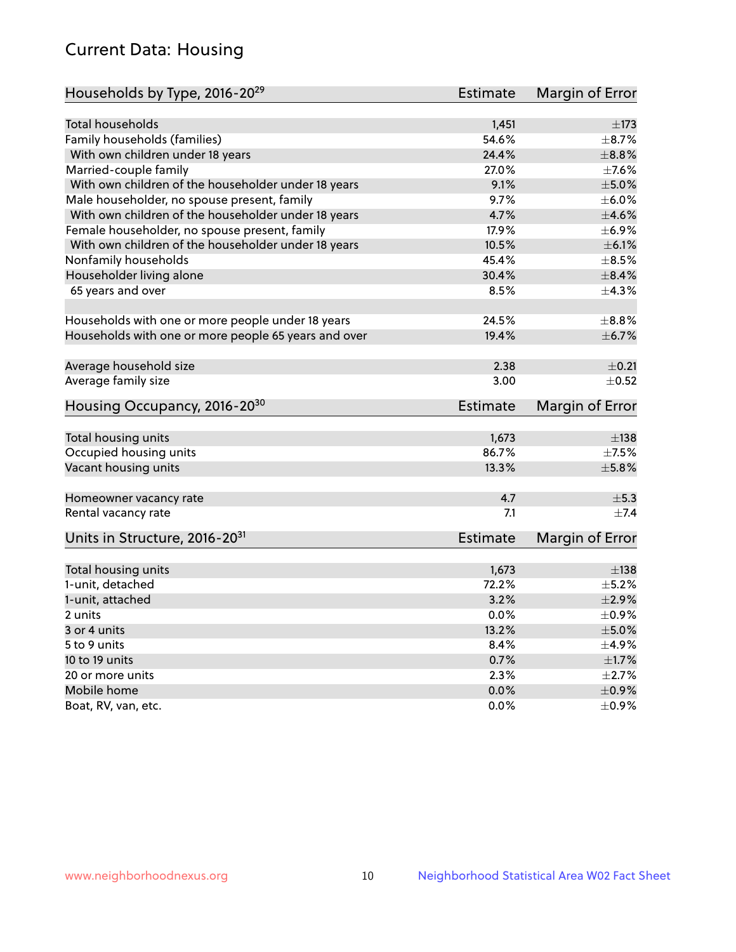# Current Data: Housing

| Households by Type, 2016-20 <sup>29</sup>            | <b>Estimate</b> | Margin of Error |
|------------------------------------------------------|-----------------|-----------------|
|                                                      |                 |                 |
| <b>Total households</b>                              | 1,451           | $\pm$ 173       |
| Family households (families)                         | 54.6%           | $\pm$ 8.7%      |
| With own children under 18 years                     | 24.4%           | $\pm$ 8.8%      |
| Married-couple family                                | 27.0%           | $\pm$ 7.6%      |
| With own children of the householder under 18 years  | 9.1%            | $\pm$ 5.0%      |
| Male householder, no spouse present, family          | 9.7%            | $\pm$ 6.0%      |
| With own children of the householder under 18 years  | 4.7%            | $\pm$ 4.6%      |
| Female householder, no spouse present, family        | 17.9%           | $\pm$ 6.9%      |
| With own children of the householder under 18 years  | 10.5%           | $\pm$ 6.1%      |
| Nonfamily households                                 | 45.4%           | $\pm$ 8.5%      |
| Householder living alone                             | 30.4%           | $\pm$ 8.4%      |
| 65 years and over                                    | 8.5%            | $\pm$ 4.3%      |
|                                                      |                 |                 |
| Households with one or more people under 18 years    | 24.5%           | $\pm$ 8.8%      |
| Households with one or more people 65 years and over | 19.4%           | $\pm$ 6.7%      |
|                                                      |                 |                 |
| Average household size                               | 2.38            | $\pm$ 0.21      |
| Average family size                                  | 3.00            | $\pm$ 0.52      |
|                                                      |                 |                 |
| Housing Occupancy, 2016-20 <sup>30</sup>             | <b>Estimate</b> | Margin of Error |
| Total housing units                                  | 1,673           | $\pm$ 138       |
| Occupied housing units                               | 86.7%           | $\pm$ 7.5%      |
| Vacant housing units                                 | 13.3%           | $\pm$ 5.8%      |
|                                                      |                 |                 |
| Homeowner vacancy rate                               | 4.7             | $\pm$ 5.3       |
| Rental vacancy rate                                  | 7.1             | $\pm$ 7.4       |
|                                                      |                 |                 |
| Units in Structure, 2016-20 <sup>31</sup>            | <b>Estimate</b> | Margin of Error |
| Total housing units                                  | 1,673           | $\pm$ 138       |
| 1-unit, detached                                     | 72.2%           | $\pm$ 5.2%      |
| 1-unit, attached                                     | 3.2%            | $\pm 2.9\%$     |
| 2 units                                              | 0.0%            | $\pm$ 0.9%      |
| 3 or 4 units                                         | 13.2%           | $\pm$ 5.0%      |
| 5 to 9 units                                         | 8.4%            | $\pm$ 4.9%      |
| 10 to 19 units                                       | 0.7%            | $\pm1.7\%$      |
| 20 or more units                                     | 2.3%            | $\pm 2.7\%$     |
| Mobile home                                          | 0.0%            | $\pm$ 0.9%      |
|                                                      |                 | $\pm$ 0.9%      |
| Boat, RV, van, etc.                                  | $0.0\%$         |                 |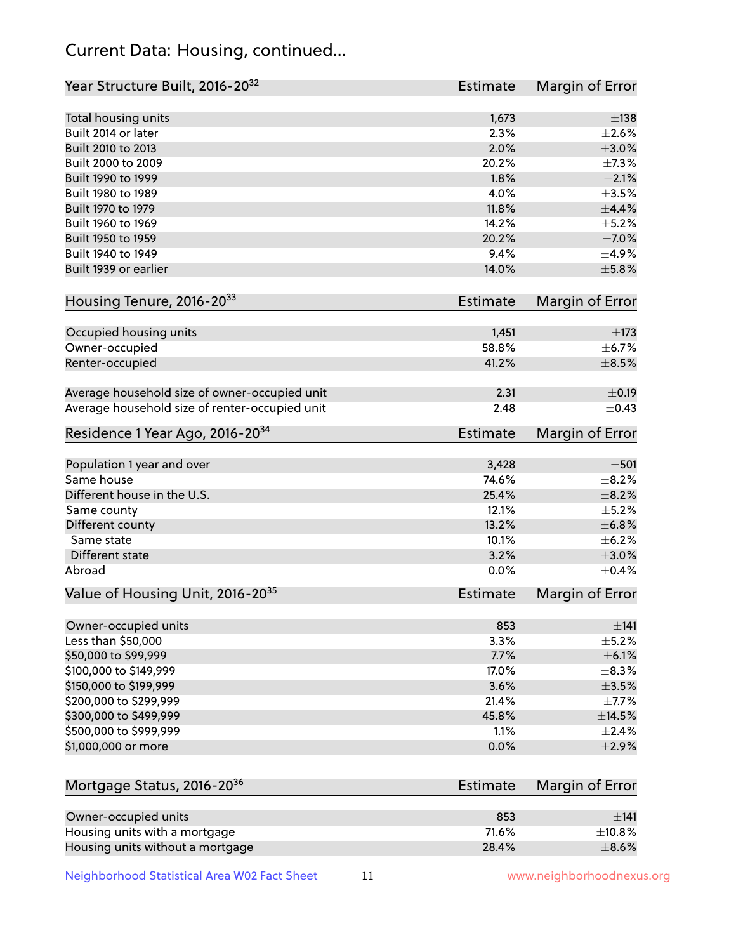# Current Data: Housing, continued...

| Year Structure Built, 2016-20 <sup>32</sup>    | <b>Estimate</b> | Margin of Error |
|------------------------------------------------|-----------------|-----------------|
| Total housing units                            | 1,673           | $\pm$ 138       |
| Built 2014 or later                            | 2.3%            | $\pm 2.6\%$     |
| Built 2010 to 2013                             | 2.0%            | $\pm 3.0\%$     |
| Built 2000 to 2009                             | 20.2%           | ±7.3%           |
| Built 1990 to 1999                             | 1.8%            | $\pm 2.1\%$     |
| Built 1980 to 1989                             | 4.0%            | $\pm$ 3.5%      |
| Built 1970 to 1979                             | 11.8%           | $\pm$ 4.4%      |
| Built 1960 to 1969                             | 14.2%           | $\pm$ 5.2%      |
| Built 1950 to 1959                             | 20.2%           | $\pm$ 7.0%      |
| Built 1940 to 1949                             | 9.4%            | $\pm$ 4.9%      |
| Built 1939 or earlier                          | 14.0%           | $\pm$ 5.8%      |
| Housing Tenure, 2016-2033                      | Estimate        | Margin of Error |
|                                                |                 |                 |
| Occupied housing units                         | 1,451           | $\pm$ 173       |
| Owner-occupied                                 | 58.8%           | $\pm$ 6.7%      |
| Renter-occupied                                | 41.2%           | $\pm$ 8.5%      |
| Average household size of owner-occupied unit  | 2.31            | $\pm$ 0.19      |
| Average household size of renter-occupied unit | 2.48            | $\pm$ 0.43      |
| Residence 1 Year Ago, 2016-20 <sup>34</sup>    | Estimate        | Margin of Error |
|                                                |                 |                 |
| Population 1 year and over                     | 3,428           | $\pm 501$       |
| Same house                                     | 74.6%           | $\pm$ 8.2%      |
| Different house in the U.S.                    | 25.4%           | $\pm$ 8.2%      |
| Same county                                    | 12.1%           | $\pm$ 5.2%      |
| Different county                               | 13.2%           | $\pm$ 6.8%      |
| Same state                                     | 10.1%           | $\pm$ 6.2%      |
| Different state                                | 3.2%            | $\pm 3.0\%$     |
| Abroad                                         | 0.0%            | $\pm$ 0.4%      |
| Value of Housing Unit, 2016-20 <sup>35</sup>   | Estimate        | Margin of Error |
|                                                |                 |                 |
| Owner-occupied units                           | 853             | $\pm$ 141       |
| Less than \$50,000                             | 3.3%            | $\pm$ 5.2%      |
| \$50,000 to \$99,999                           | 7.7%            | $\pm$ 6.1%      |
| \$100,000 to \$149,999                         | 17.0%           | $\pm$ 8.3%      |
| \$150,000 to \$199,999                         | 3.6%            | $\pm$ 3.5%      |
| \$200,000 to \$299,999                         | 21.4%           | $\pm$ 7.7%      |
| \$300,000 to \$499,999                         | 45.8%           | ±14.5%          |
| \$500,000 to \$999,999                         | 1.1%            | $\pm 2.4\%$     |
| \$1,000,000 or more                            | 0.0%            | $\pm 2.9\%$     |
| Mortgage Status, 2016-20 <sup>36</sup>         | <b>Estimate</b> | Margin of Error |
|                                                |                 |                 |
| Owner-occupied units                           | 853             | ±141            |
| Housing units with a mortgage                  | 71.6%           | ±10.8%          |
| Housing units without a mortgage               | 28.4%           | $\pm$ 8.6%      |

Neighborhood Statistical Area W02 Fact Sheet 11 11 www.neighborhoodnexus.org

Housing units without a mortgage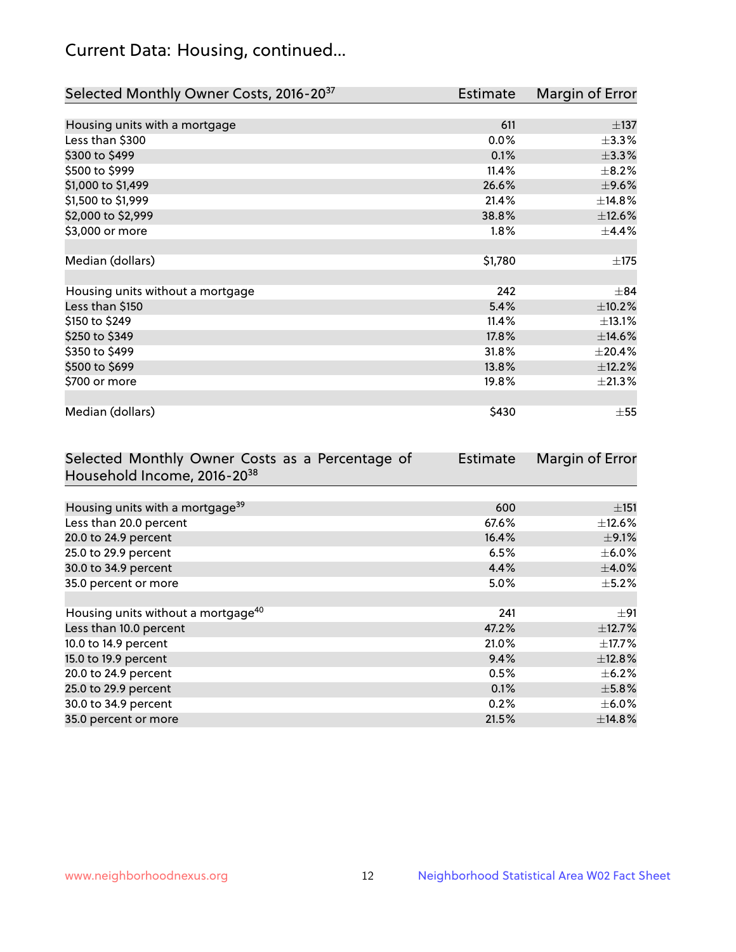# Current Data: Housing, continued...

| Selected Monthly Owner Costs, 2016-20 <sup>37</sup> | Estimate | Margin of Error |
|-----------------------------------------------------|----------|-----------------|
|                                                     |          |                 |
| Housing units with a mortgage                       | 611      | $\pm$ 137       |
| Less than \$300                                     | 0.0%     | $\pm$ 3.3%      |
| \$300 to \$499                                      | 0.1%     | ±3.3%           |
| \$500 to \$999                                      | 11.4%    | $\pm$ 8.2%      |
| \$1,000 to \$1,499                                  | 26.6%    | $\pm$ 9.6%      |
| \$1,500 to \$1,999                                  | 21.4%    | ±14.8%          |
| \$2,000 to \$2,999                                  | 38.8%    | ±12.6%          |
| \$3,000 or more                                     | $1.8\%$  | ±4.4%           |
|                                                     |          |                 |
| Median (dollars)                                    | \$1,780  | ±175            |
|                                                     |          |                 |
| Housing units without a mortgage                    | 242      | $\pm$ 84        |
| Less than \$150                                     | 5.4%     | ±10.2%          |
| \$150 to \$249                                      | 11.4%    | $\pm$ 13.1%     |
| \$250 to \$349                                      | 17.8%    | ±14.6%          |
| \$350 to \$499                                      | 31.8%    | $\pm 20.4\%$    |
| \$500 to \$699                                      | 13.8%    | ±12.2%          |
| \$700 or more                                       | 19.8%    | $\pm 21.3\%$    |
|                                                     |          |                 |
| Median (dollars)                                    | \$430    | $\pm$ 55        |

| Selected Monthly Owner Costs as a Percentage of | <b>Estimate</b> | Margin of Error |
|-------------------------------------------------|-----------------|-----------------|
| Household Income, 2016-2038                     |                 |                 |
|                                                 |                 |                 |
| Housing units with a mortgage <sup>39</sup>     | 600             | $\pm$ 151       |
| Less than 20.0 percent                          | 67.6%           | $\pm$ 12.6%     |
| 20.0 to 24.9 percent                            | 16.4%           | $\pm$ 9.1%      |
| 25.0 to 29.9 percent                            | 6.5%            | $\pm$ 6.0%      |
| 30.0 to 34.9 percent                            | 4.4%            | $\pm$ 4.0%      |
| 35.0 percent or more                            | $5.0\%$         | $\pm$ 5.2%      |
|                                                 |                 |                 |
| Housing units without a mortgage <sup>40</sup>  | 241             | $\pm$ 91        |
| Less than 10.0 percent                          | 47.2%           | ±12.7%          |
| 10.0 to 14.9 percent                            | 21.0%           | $\pm$ 17.7%     |
| 15.0 to 19.9 percent                            | 9.4%            | ±12.8%          |
| 20.0 to 24.9 percent                            | 0.5%            | $\pm$ 6.2%      |
| 25.0 to 29.9 percent                            | 0.1%            | $\pm$ 5.8%      |
| 30.0 to 34.9 percent                            | 0.2%            | $\pm$ 6.0%      |
| 35.0 percent or more                            | 21.5%           | ±14.8%          |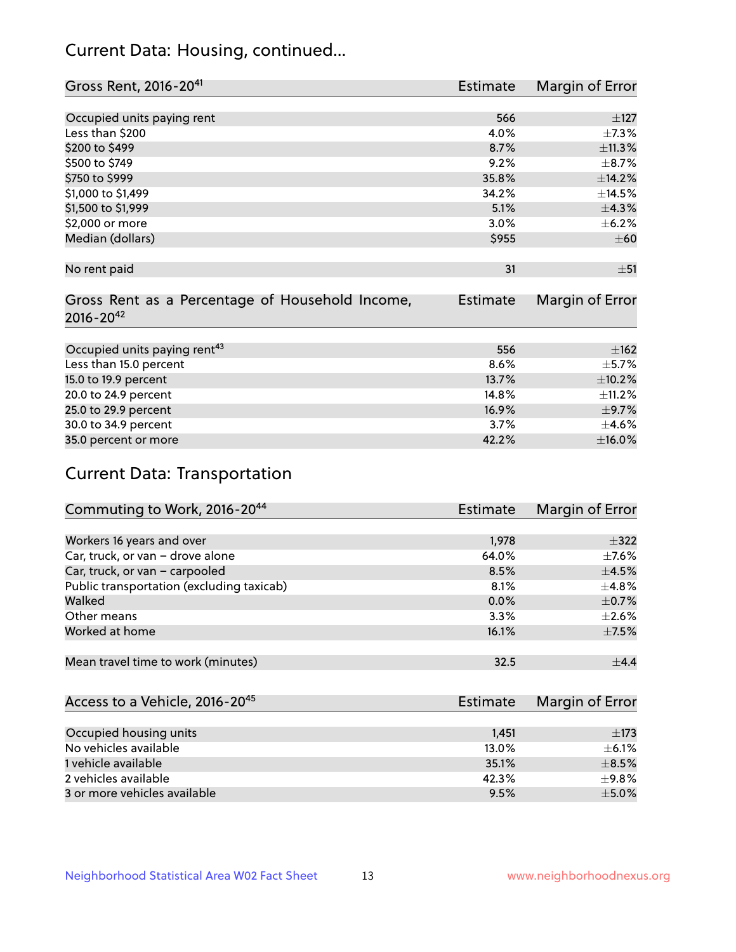# Current Data: Housing, continued...

| Gross Rent, 2016-20 <sup>41</sup>               | <b>Estimate</b> | Margin of Error |
|-------------------------------------------------|-----------------|-----------------|
|                                                 |                 |                 |
| Occupied units paying rent                      | 566             | ±127            |
| Less than \$200                                 | 4.0%            | $\pm$ 7.3%      |
| \$200 to \$499                                  | 8.7%            | ±11.3%          |
| \$500 to \$749                                  | 9.2%            | $\pm$ 8.7%      |
| \$750 to \$999                                  | 35.8%           | ±14.2%          |
| \$1,000 to \$1,499                              | 34.2%           | ±14.5%          |
| \$1,500 to \$1,999                              | 5.1%            | ±4.3%           |
| \$2,000 or more                                 | 3.0%            | $\pm$ 6.2%      |
| Median (dollars)                                | \$955           | $\pm 60$        |
|                                                 |                 |                 |
| No rent paid                                    | 31              | ±51             |
|                                                 |                 |                 |
| Gross Rent as a Percentage of Household Income, | <b>Estimate</b> | Margin of Error |
| $2016 - 20^{42}$                                |                 |                 |
|                                                 |                 |                 |
| Occupied units paying rent <sup>43</sup>        | 556             | ±162            |
| Less than 15.0 percent                          | 8.6%            | $\pm$ 5.7%      |
| 15.0 to 19.9 percent                            | 13.7%           | $\pm$ 10.2%     |
| 20.0 to 24.9 percent                            | 14.8%           | ±11.2%          |
| 25.0 to 29.9 percent                            | 16.9%           | $\pm$ 9.7%      |
| 30.0 to 34.9 percent                            | 3.7%            | $\pm$ 4.6%      |
| 35.0 percent or more                            | 42.2%           | $\pm$ 16.0%     |

# Current Data: Transportation

| Commuting to Work, 2016-20 <sup>44</sup>  | <b>Estimate</b> | <b>Margin of Error</b> |
|-------------------------------------------|-----------------|------------------------|
|                                           |                 |                        |
| Workers 16 years and over                 | 1,978           | $+322$                 |
| Car, truck, or van - drove alone          | 64.0%           | $\pm$ 7.6%             |
| Car, truck, or van - carpooled            | 8.5%            | $\pm$ 4.5%             |
| Public transportation (excluding taxicab) | 8.1%            | $\pm$ 4.8%             |
| Walked                                    | 0.0%            | $\pm$ 0.7%             |
| Other means                               | 3.3%            | $\pm 2.6\%$            |
| Worked at home                            | 16.1%           | $\pm$ 7.5%             |
|                                           |                 |                        |
| Mean travel time to work (minutes)        | 32.5            | $\pm$ 4.4              |

| Access to a Vehicle, 2016-20 <sup>45</sup> | Estimate | Margin of Error |
|--------------------------------------------|----------|-----------------|
|                                            |          |                 |
| Occupied housing units                     | 1.451    | $\pm$ 173       |
| No vehicles available                      | 13.0%    | $+6.1%$         |
| 1 vehicle available                        | 35.1%    | $\pm$ 8.5%      |
| 2 vehicles available                       | 42.3%    | ±9.8%           |
| 3 or more vehicles available               | 9.5%     | $+5.0%$         |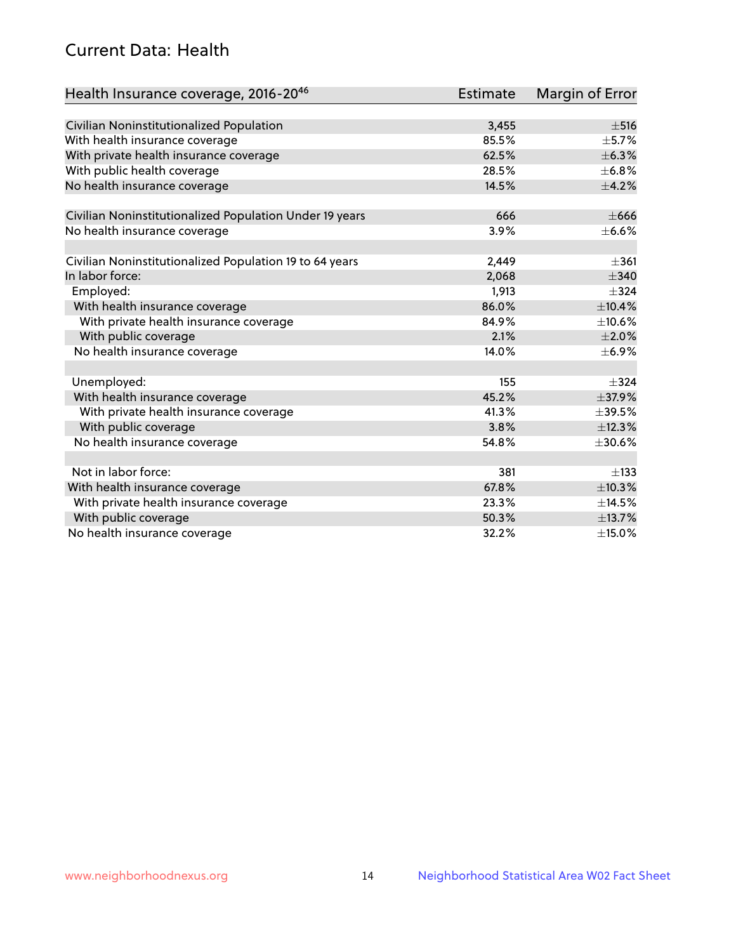# Current Data: Health

| Health Insurance coverage, 2016-2046                    | <b>Estimate</b> | Margin of Error |
|---------------------------------------------------------|-----------------|-----------------|
|                                                         |                 |                 |
| Civilian Noninstitutionalized Population                | 3,455           | $\pm$ 516       |
| With health insurance coverage                          | 85.5%           | $\pm$ 5.7%      |
| With private health insurance coverage                  | 62.5%           | ±6.3%           |
| With public health coverage                             | 28.5%           | $\pm$ 6.8%      |
| No health insurance coverage                            | 14.5%           | $\pm$ 4.2%      |
| Civilian Noninstitutionalized Population Under 19 years | 666             | $\pm 666$       |
| No health insurance coverage                            | 3.9%            | ±6.6%           |
|                                                         |                 |                 |
| Civilian Noninstitutionalized Population 19 to 64 years | 2,449           | $\pm 361$       |
| In labor force:                                         | 2,068           | $\pm$ 340       |
| Employed:                                               | 1,913           | $\pm$ 324       |
| With health insurance coverage                          | 86.0%           | ±10.4%          |
| With private health insurance coverage                  | 84.9%           | ±10.6%          |
| With public coverage                                    | 2.1%            | $\pm 2.0\%$     |
| No health insurance coverage                            | 14.0%           | ±6.9%           |
|                                                         |                 |                 |
| Unemployed:                                             | 155             | $\pm$ 324       |
| With health insurance coverage                          | 45.2%           | ±37.9%          |
| With private health insurance coverage                  | 41.3%           | $\pm$ 39.5%     |
| With public coverage                                    | 3.8%            | ±12.3%          |
| No health insurance coverage                            | 54.8%           | $\pm$ 30.6%     |
|                                                         |                 |                 |
| Not in labor force:                                     | 381             | $\pm$ 133       |
| With health insurance coverage                          | 67.8%           | ±10.3%          |
| With private health insurance coverage                  | 23.3%           | ±14.5%          |
| With public coverage                                    | 50.3%           | ±13.7%          |
| No health insurance coverage                            | 32.2%           | $\pm$ 15.0%     |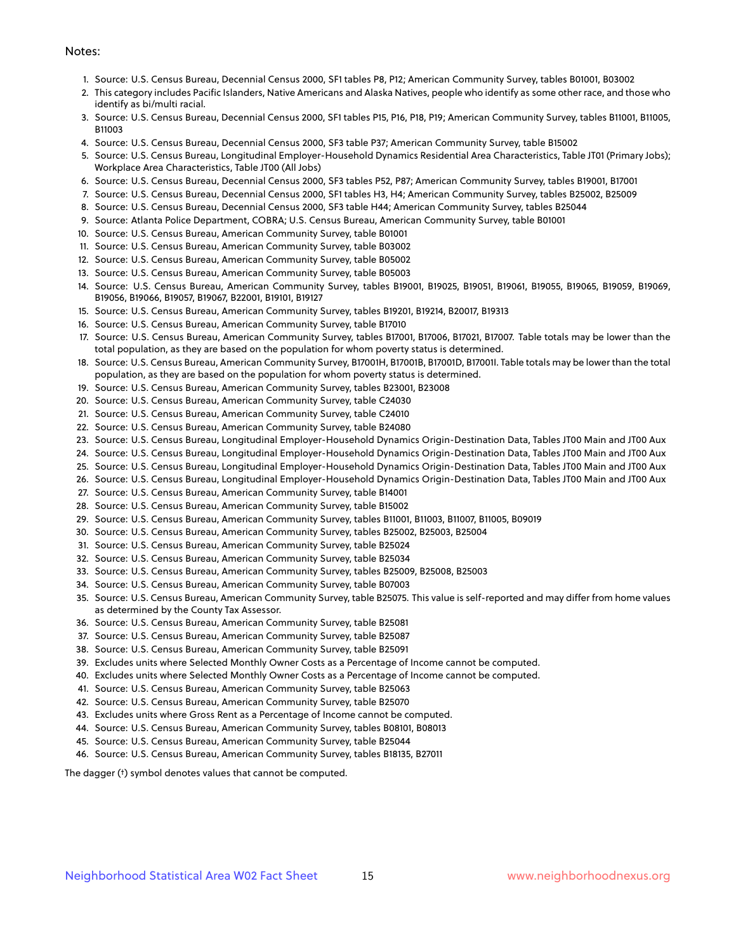#### Notes:

- 1. Source: U.S. Census Bureau, Decennial Census 2000, SF1 tables P8, P12; American Community Survey, tables B01001, B03002
- 2. This category includes Pacific Islanders, Native Americans and Alaska Natives, people who identify as some other race, and those who identify as bi/multi racial.
- 3. Source: U.S. Census Bureau, Decennial Census 2000, SF1 tables P15, P16, P18, P19; American Community Survey, tables B11001, B11005, B11003
- 4. Source: U.S. Census Bureau, Decennial Census 2000, SF3 table P37; American Community Survey, table B15002
- 5. Source: U.S. Census Bureau, Longitudinal Employer-Household Dynamics Residential Area Characteristics, Table JT01 (Primary Jobs); Workplace Area Characteristics, Table JT00 (All Jobs)
- 6. Source: U.S. Census Bureau, Decennial Census 2000, SF3 tables P52, P87; American Community Survey, tables B19001, B17001
- 7. Source: U.S. Census Bureau, Decennial Census 2000, SF1 tables H3, H4; American Community Survey, tables B25002, B25009
- 8. Source: U.S. Census Bureau, Decennial Census 2000, SF3 table H44; American Community Survey, tables B25044
- 9. Source: Atlanta Police Department, COBRA; U.S. Census Bureau, American Community Survey, table B01001
- 10. Source: U.S. Census Bureau, American Community Survey, table B01001
- 11. Source: U.S. Census Bureau, American Community Survey, table B03002
- 12. Source: U.S. Census Bureau, American Community Survey, table B05002
- 13. Source: U.S. Census Bureau, American Community Survey, table B05003
- 14. Source: U.S. Census Bureau, American Community Survey, tables B19001, B19025, B19051, B19061, B19055, B19065, B19059, B19069, B19056, B19066, B19057, B19067, B22001, B19101, B19127
- 15. Source: U.S. Census Bureau, American Community Survey, tables B19201, B19214, B20017, B19313
- 16. Source: U.S. Census Bureau, American Community Survey, table B17010
- 17. Source: U.S. Census Bureau, American Community Survey, tables B17001, B17006, B17021, B17007. Table totals may be lower than the total population, as they are based on the population for whom poverty status is determined.
- 18. Source: U.S. Census Bureau, American Community Survey, B17001H, B17001B, B17001D, B17001I. Table totals may be lower than the total population, as they are based on the population for whom poverty status is determined.
- 19. Source: U.S. Census Bureau, American Community Survey, tables B23001, B23008
- 20. Source: U.S. Census Bureau, American Community Survey, table C24030
- 21. Source: U.S. Census Bureau, American Community Survey, table C24010
- 22. Source: U.S. Census Bureau, American Community Survey, table B24080
- 23. Source: U.S. Census Bureau, Longitudinal Employer-Household Dynamics Origin-Destination Data, Tables JT00 Main and JT00 Aux
- 24. Source: U.S. Census Bureau, Longitudinal Employer-Household Dynamics Origin-Destination Data, Tables JT00 Main and JT00 Aux
- 25. Source: U.S. Census Bureau, Longitudinal Employer-Household Dynamics Origin-Destination Data, Tables JT00 Main and JT00 Aux
- 26. Source: U.S. Census Bureau, Longitudinal Employer-Household Dynamics Origin-Destination Data, Tables JT00 Main and JT00 Aux
- 27. Source: U.S. Census Bureau, American Community Survey, table B14001
- 28. Source: U.S. Census Bureau, American Community Survey, table B15002
- 29. Source: U.S. Census Bureau, American Community Survey, tables B11001, B11003, B11007, B11005, B09019
- 30. Source: U.S. Census Bureau, American Community Survey, tables B25002, B25003, B25004
- 31. Source: U.S. Census Bureau, American Community Survey, table B25024
- 32. Source: U.S. Census Bureau, American Community Survey, table B25034
- 33. Source: U.S. Census Bureau, American Community Survey, tables B25009, B25008, B25003
- 34. Source: U.S. Census Bureau, American Community Survey, table B07003
- 35. Source: U.S. Census Bureau, American Community Survey, table B25075. This value is self-reported and may differ from home values as determined by the County Tax Assessor.
- 36. Source: U.S. Census Bureau, American Community Survey, table B25081
- 37. Source: U.S. Census Bureau, American Community Survey, table B25087
- 38. Source: U.S. Census Bureau, American Community Survey, table B25091
- 39. Excludes units where Selected Monthly Owner Costs as a Percentage of Income cannot be computed.
- 40. Excludes units where Selected Monthly Owner Costs as a Percentage of Income cannot be computed.
- 41. Source: U.S. Census Bureau, American Community Survey, table B25063
- 42. Source: U.S. Census Bureau, American Community Survey, table B25070
- 43. Excludes units where Gross Rent as a Percentage of Income cannot be computed.
- 44. Source: U.S. Census Bureau, American Community Survey, tables B08101, B08013
- 45. Source: U.S. Census Bureau, American Community Survey, table B25044
- 46. Source: U.S. Census Bureau, American Community Survey, tables B18135, B27011

The dagger (†) symbol denotes values that cannot be computed.